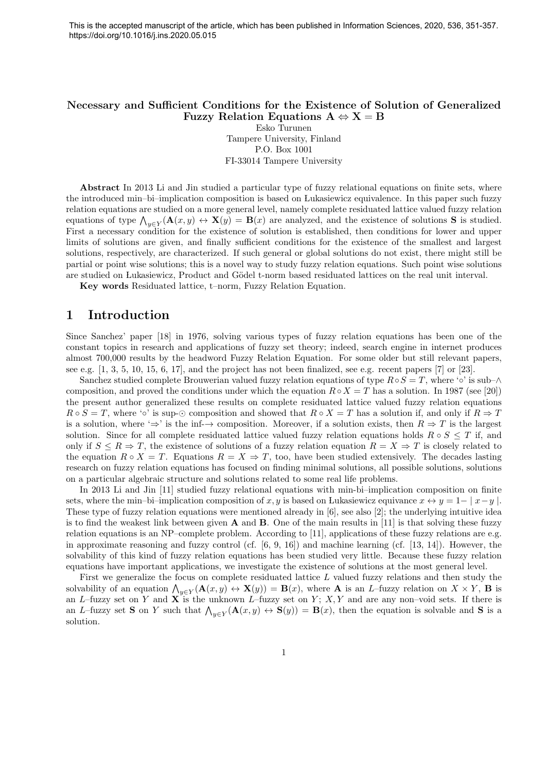#### Necessary and Sufficient Conditions for the Existence of Solution of Generalized Fuzzy Relation Equations  $A \Leftrightarrow X = B$

Esko Turunen Tampere University, Finland P.O. Box 1001 FI-33014 Tampere University

Abstract In 2013 Li and Jin studied a particular type of fuzzy relational equations on finite sets, where the introduced min–bi–implication composition is based on Lukasiewicz equivalence. In this paper such fuzzy relation equations are studied on a more general level, namely complete residuated lattice valued fuzzy relation equations of type  $\bigwedge_{y\in Y} (\mathbf{A}(x,y) \leftrightarrow \mathbf{X}(y) = \mathbf{B}(x)$  are analyzed, and the existence of solutions **S** is studied. First a necessary condition for the existence of solution is established, then conditions for lower and upper limits of solutions are given, and finally sufficient conditions for the existence of the smallest and largest solutions, respectively, are characterized. If such general or global solutions do not exist, there might still be partial or point wise solutions; this is a novel way to study fuzzy relation equations. Such point wise solutions are studied on Lukasiewicz, Product and Gödel t-norm based residuated lattices on the real unit interval.

Key words Residuated lattice, t–norm, Fuzzy Relation Equation.

# 1 Introduction

Since Sanchez' paper [18] in 1976, solving various types of fuzzy relation equations has been one of the constant topics in research and applications of fuzzy set theory; indeed, search engine in internet produces almost 700,000 results by the headword Fuzzy Relation Equation. For some older but still relevant papers, see e.g. [1, 3, 5, 10, 15, 6, 17], and the project has not been finalized, see e.g. recent papers [7] or [23].

Sanchez studied complete Brouwerian valued fuzzy relation equations of type  $R \circ S = T$ , where ' $\circ$ ' is sub- $\wedge$ composition, and proved the conditions under which the equation  $R \circ X = T$  has a solution. In 1987 (see [20]) the present author generalized these results on complete residuated lattice valued fuzzy relation equations  $R \circ S = T$ , where ' $\circ$ ' is sup- $\odot$  composition and showed that  $R \circ X = T$  has a solution if, and only if  $R \Rightarrow T$ is a solution, where ' $\Rightarrow$ ' is the inf- $\rightarrow$  composition. Moreover, if a solution exists, then  $R \Rightarrow T$  is the largest solution. Since for all complete residuated lattice valued fuzzy relation equations holds  $R \circ S \leq T$  if, and only if  $S \leq R \Rightarrow T$ , the existence of solutions of a fuzzy relation equation  $R = X \Rightarrow T$  is closely related to the equation  $R \circ X = T$ . Equations  $R = X \Rightarrow T$ , too, have been studied extensively. The decades lasting research on fuzzy relation equations has focused on finding minimal solutions, all possible solutions, solutions on a particular algebraic structure and solutions related to some real life problems.

In 2013 Li and Jin [11] studied fuzzy relational equations with min-bi–implication composition on finite sets, where the min–bi–implication composition of x, y is based on Lukasiewicz equivance  $x \leftrightarrow y = 1 - |x-y|$ . These type of fuzzy relation equations were mentioned already in [6], see also [2]; the underlying intuitive idea is to find the weakest link between given  $A$  and  $B$ . One of the main results in [11] is that solving these fuzzy relation equations is an NP–complete problem. According to [11], applications of these fuzzy relations are e.g. in approximate reasoning and fuzzy control (cf.  $[6, 9, 16]$ ) and machine learning (cf.  $[13, 14]$ ). However, the solvability of this kind of fuzzy relation equations has been studied very little. Because these fuzzy relation equations have important applications, we investigate the existence of solutions at the most general level.

First we generalize the focus on complete residuated lattice L valued fuzzy relations and then study the solvability of an equation  $\bigwedge_{y\in Y} (\mathbf{A}(x,y) \leftrightarrow \mathbf{X}(y)) = \mathbf{B}(x)$ , where **A** is an *L*-fuzzy relation on  $X \times Y$ , **B** is an L–fuzzy set on Y and X is the unknown L–fuzzy set on Y; X, Y and are any non–void sets. If there is an L–fuzzy set **S** on Y such that  $\bigwedge_{y \in Y} (\mathbf{A}(x, y) \leftrightarrow \mathbf{S}(y)) = \mathbf{B}(x)$ , then the equation is solvable and **S** is a solution.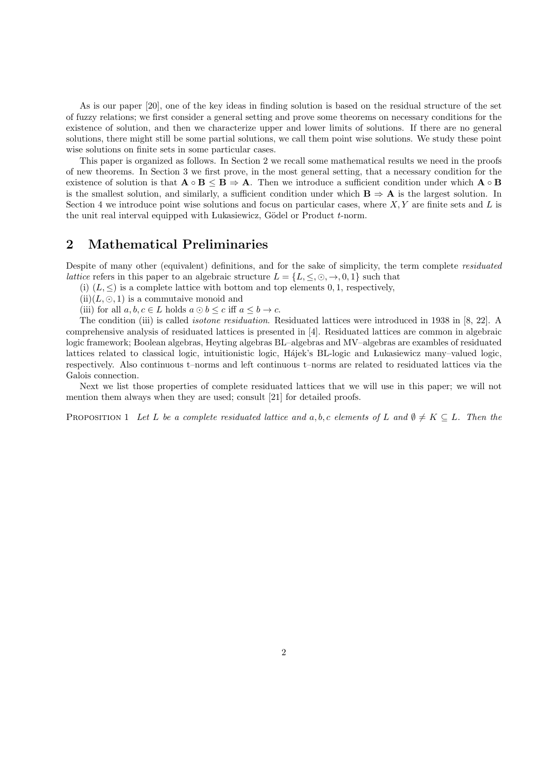As is our paper [20], one of the key ideas in finding solution is based on the residual structure of the set of fuzzy relations; we first consider a general setting and prove some theorems on necessary conditions for the existence of solution, and then we characterize upper and lower limits of solutions. If there are no general solutions, there might still be some partial solutions, we call them point wise solutions. We study these point wise solutions on finite sets in some particular cases.

This paper is organized as follows. In Section 2 we recall some mathematical results we need in the proofs of new theorems. In Section 3 we first prove, in the most general setting, that a necessary condition for the existence of solution is that  $\mathbf{A} \circ \mathbf{B} \leq \mathbf{B} \Rightarrow \mathbf{A}$ . Then we introduce a sufficient condition under which  $\mathbf{A} \circ \mathbf{B}$ is the smallest solution, and similarly, a sufficient condition under which  $B \Rightarrow A$  is the largest solution. In Section 4 we introduce point wise solutions and focus on particular cases, where  $X, Y$  are finite sets and  $L$  is the unit real interval equipped with Lukasiewicz, Gödel or Product  $t$ -norm.

## 2 Mathematical Preliminaries

Despite of many other (equivalent) definitions, and for the sake of simplicity, the term complete residuated *lattice* refers in this paper to an algebraic structure  $L = \{L, \leq, \odot, \rightarrow, 0, 1\}$  such that

(i)  $(L, \leq)$  is a complete lattice with bottom and top elements 0, 1, respectively,

- $(ii)(L, \odot, 1)$  is a commutaive monoid and
- (iii) for all  $a, b, c \in L$  holds  $a \odot b \leq c$  iff  $a \leq b \rightarrow c$ .

The condition (iii) is called isotone residuation. Residuated lattices were introduced in 1938 in [8, 22]. A comprehensive analysis of residuated lattices is presented in [4]. Residuated lattices are common in algebraic logic framework; Boolean algebras, Heyting algebras BL–algebras and MV–algebras are exambles of residuated lattices related to classical logic, intuitionistic logic, Hájek's BL-logic and Lukasiewicz many–valued logic, respectively. Also continuous t–norms and left continuous t–norms are related to residuated lattices via the Galois connection.

Next we list those properties of complete residuated lattices that we will use in this paper; we will not mention them always when they are used; consult [21] for detailed proofs.

PROPOSITION 1 Let L be a complete residuated lattice and a, b, c elements of L and  $\emptyset \neq K \subseteq L$ . Then the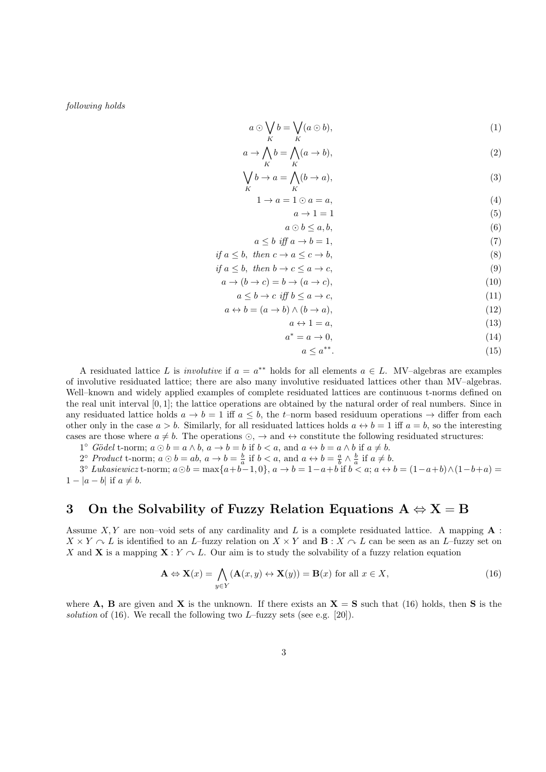following holds

$$
a \odot \bigvee_{K} b = \bigvee_{K} (a \odot b), \tag{1}
$$

$$
a \to \bigwedge_{K} b = \bigwedge_{K} (a \to b), \tag{2}
$$

$$
\bigvee_{K} b \to a = \bigwedge_{K} (b \to a), \tag{3}
$$

$$
1 \to a = 1 \odot a = a,\tag{4}
$$

$$
a \to 1 = 1 \tag{5}
$$
  

$$
a \odot b < a, b. \tag{6}
$$

$$
a \le b \text{ iff } a \to b = 1,\tag{7}
$$

if 
$$
a \leq b
$$
, then  $c \to a \leq c \to b$ , (8)

$$
if a \le b, then b \to c \le a \to c,
$$
\n(9)

$$
a \to (b \to c) = b \to (a \to c), \tag{10}
$$

$$
a \le b \to c \iff b \le a \to c,\tag{11}
$$

$$
a \leftrightarrow b = (a \to b) \land (b \to a), \tag{12}
$$

$$
a \leftrightarrow 1 = a,\tag{13}
$$

$$
a^* = a \to 0,\tag{14}
$$

$$
a \le a^{**}.\tag{15}
$$

A residuated lattice L is *involutive* if  $a = a^{**}$  holds for all elements  $a \in L$ . MV-algebras are examples of involutive residuated lattice; there are also many involutive residuated lattices other than MV–algebras. Well–known and widely applied examples of complete residuated lattices are continuous t-norms defined on the real unit interval [0, 1]; the lattice operations are obtained by the natural order of real numbers. Since in any residuated lattice holds  $a \to b = 1$  iff  $a \leq b$ , the t–norm based residuum operations  $\to$  differ from each other only in the case  $a > b$ . Similarly, for all residuated lattices holds  $a \leftrightarrow b = 1$  iff  $a = b$ , so the interesting cases are those where  $a \neq b$ . The operations  $\odot$ ,  $\rightarrow$  and  $\leftrightarrow$  constitute the following residuated structures:

1° Gödel t-norm;  $a \odot b = a \wedge b$ ,  $a \rightarrow b = b$  if  $b < a$ , and  $a \leftrightarrow b = a \wedge b$  if  $a \neq b$ .

2° *Product* t-norm; 
$$
a \odot b = ab
$$
,  $a \rightarrow b = \frac{b}{a}$  if  $b < a$ , and  $a \leftrightarrow b = \frac{a}{b} \land \frac{b}{a}$  if  $a \neq b$ .

 $a^2 + b$  and  $b = \min$ ;  $a \odot b = \max\{a+b-1, 0\}$ ,  $a \rightarrow b = 1 - a + b$  if  $b < a$ ;  $a \leftrightarrow b = (1 - a + b) \wedge (1 - b + a) =$  $1 - |a - b|$  if  $a \neq b$ .

## 3 On the Solvability of Fuzzy Relation Equations  $A \Leftrightarrow X = B$

Assume X, Y are non–void sets of any cardinality and L is a complete residuated lattice. A mapping  $\bf{A}$ :  $X \times Y \cap L$  is identified to an L–fuzzy relation on  $X \times Y$  and  $\mathbf{B} : X \cap L$  can be seen as an L–fuzzy set on X and X is a mapping  $X: Y \nightharpoonup L$ . Our aim is to study the solvability of a fuzzy relation equation

$$
\mathbf{A} \Leftrightarrow \mathbf{X}(x) = \bigwedge_{y \in Y} (\mathbf{A}(x, y) \leftrightarrow \mathbf{X}(y)) = \mathbf{B}(x) \text{ for all } x \in X,
$$
\n(16)

where A, B are given and X is the unknown. If there exists an  $X = S$  such that (16) holds, then S is the solution of  $(16)$ . We recall the following two L–fuzzy sets (see e.g. [20]).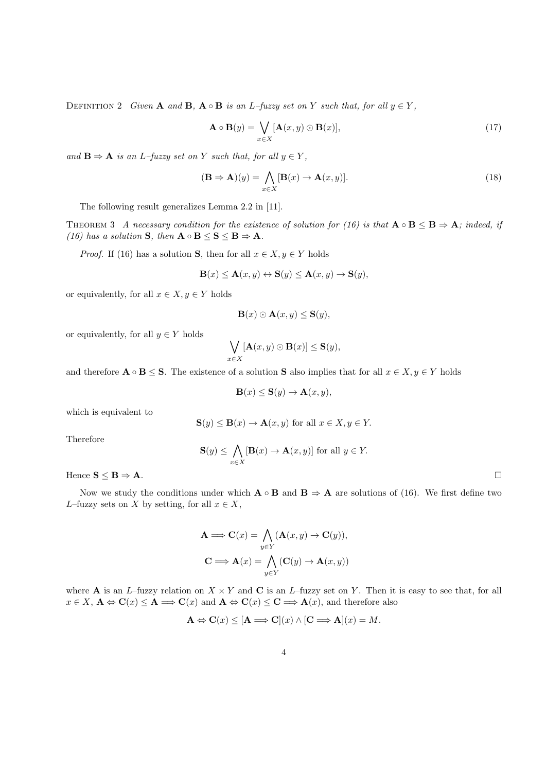DEFINITION 2 Given **A** and **B**,  $\mathbf{A} \circ \mathbf{B}$  is an L–fuzzy set on Y such that, for all  $y \in Y$ ,

$$
\mathbf{A} \circ \mathbf{B}(y) = \bigvee_{x \in X} [\mathbf{A}(x, y) \odot \mathbf{B}(x)],\tag{17}
$$

and  $\mathbf{B} \Rightarrow \mathbf{A}$  is an L–fuzzy set on Y such that, for all  $y \in Y$ ,

$$
(\mathbf{B} \Rightarrow \mathbf{A})(y) = \bigwedge_{x \in X} [\mathbf{B}(x) \to \mathbf{A}(x, y)].
$$
\n(18)

The following result generalizes Lemma 2.2 in [11].

THEOREM 3 A necessary condition for the existence of solution for (16) is that  $A \circ B \leq B \Rightarrow A$ ; indeed, if (16) has a solution  $S$ , then  $A \circ B \leq S \leq B \Rightarrow A$ .

*Proof.* If (16) has a solution **S**, then for all  $x \in X, y \in Y$  holds

$$
\mathbf{B}(x) \le \mathbf{A}(x, y) \leftrightarrow \mathbf{S}(y) \le \mathbf{A}(x, y) \rightarrow \mathbf{S}(y),
$$

or equivalently, for all  $x \in X, y \in Y$  holds

$$
\mathbf{B}(x) \odot \mathbf{A}(x, y) \le \mathbf{S}(y),
$$

or equivalently, for all  $y \in Y$  holds

$$
\bigvee_{x\in X} [\mathbf{A}(x,y)\odot \mathbf{B}(x)] \leq \mathbf{S}(y),
$$

and therefore  $\mathbf{A} \circ \mathbf{B} \leq \mathbf{S}$ . The existence of a solution **S** also implies that for all  $x \in X, y \in Y$  holds

$$
\mathbf{B}(x) \le \mathbf{S}(y) \to \mathbf{A}(x, y),
$$

which is equivalent to

$$
\mathbf{S}(y) \le \mathbf{B}(x) \to \mathbf{A}(x, y) \text{ for all } x \in X, y \in Y.
$$

Therefore

$$
\mathbf{S}(y) \le \bigwedge_{x \in X} [\mathbf{B}(x) \to \mathbf{A}(x, y)] \text{ for all } y \in Y.
$$

Hence  $S \leq B \Rightarrow A$ .

Now we study the conditions under which  $\mathbf{A} \circ \mathbf{B}$  and  $\mathbf{B} \Rightarrow \mathbf{A}$  are solutions of (16). We first define two L–fuzzy sets on X by setting, for all  $x \in X$ ,

$$
\mathbf{A} \Longrightarrow \mathbf{C}(x) = \bigwedge_{y \in Y} (\mathbf{A}(x, y) \to \mathbf{C}(y)),
$$

$$
\mathbf{C} \Longrightarrow \mathbf{A}(x) = \bigwedge_{y \in Y} (\mathbf{C}(y) \to \mathbf{A}(x, y)))
$$

where **A** is an L–fuzzy relation on  $X \times Y$  and **C** is an L–fuzzy set on Y. Then it is easy to see that, for all  $x \in X$ ,  $\mathbf{A} \Leftrightarrow \mathbf{C}(x) \le \mathbf{A} \Longrightarrow \mathbf{C}(x)$  and  $\mathbf{A} \Leftrightarrow \mathbf{C}(x) \le \mathbf{C} \Longrightarrow \mathbf{A}(x)$ , and therefore also

$$
\mathbf{A} \Leftrightarrow \mathbf{C}(x) \leq [\mathbf{A} \Longrightarrow \mathbf{C}](x) \wedge [\mathbf{C} \Longrightarrow \mathbf{A}](x) = M.
$$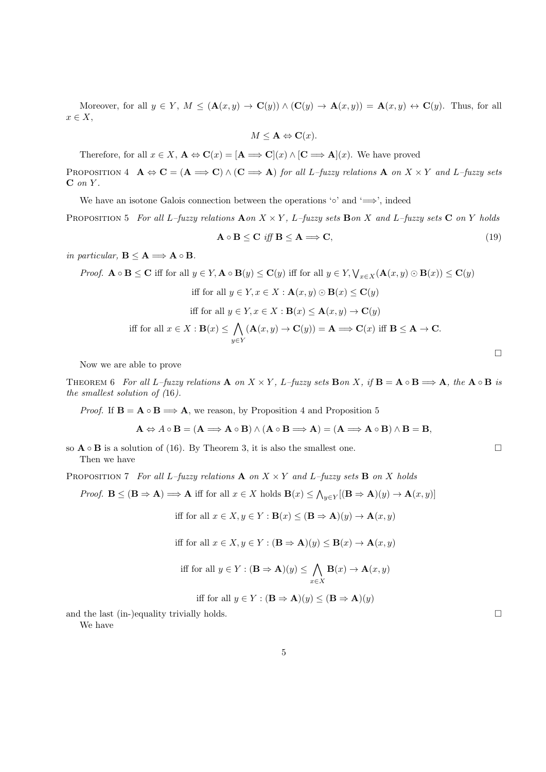Moreover, for all  $y \in Y$ ,  $M \leq (\mathbf{A}(x, y) \to \mathbf{C}(y)) \wedge (\mathbf{C}(y) \to \mathbf{A}(x, y)) = \mathbf{A}(x, y) \leftrightarrow \mathbf{C}(y)$ . Thus, for all  $x \in X$ ,

$$
M \leq \mathbf{A} \Leftrightarrow \mathbf{C}(x).
$$

Therefore, for all  $x \in X$ ,  $\mathbf{A} \Leftrightarrow \mathbf{C}(x) = [\mathbf{A} \Longrightarrow \mathbf{C}](x) \wedge [\mathbf{C} \Longrightarrow \mathbf{A}](x)$ . We have proved

PROPOSITION 4  $\mathbf{A} \Leftrightarrow \mathbf{C} = (\mathbf{A} \Longrightarrow \mathbf{C}) \wedge (\mathbf{C} \Longrightarrow \mathbf{A})$  for all L–fuzzy relations  $\mathbf{A}$  on  $X \times Y$  and L–fuzzy sets  $C$  on  $Y$ .

We have an isotone Galois connection between the operations ' $\circ$ ' and ' $\implies$ ', indeed

PROPOSITION 5 For all L–fuzzy relations  $\mathbf{A}$  on  $X \times Y$ , L–fuzzy sets  $\mathbf{B}$  on  $X$  and L–fuzzy sets  $\mathbf{C}$  on  $Y$  holds

$$
\mathbf{A} \circ \mathbf{B} \le \mathbf{C} \quad \text{iff} \quad \mathbf{B} \le \mathbf{A} \Longrightarrow \mathbf{C}, \tag{19}
$$

in particular,  $B \leq A \Longrightarrow A \circ B$ .

Proof. 
$$
\mathbf{A} \circ \mathbf{B} \leq \mathbf{C}
$$
 iff for all  $y \in Y$ ,  $\mathbf{A} \circ \mathbf{B}(y) \leq \mathbf{C}(y)$  iff for all  $y \in Y$ ,  $\forall_{x \in X} (\mathbf{A}(x, y) \odot \mathbf{B}(x)) \leq \mathbf{C}(y)$   
iff for all  $y \in Y$ ,  $x \in X : \mathbf{A}(x, y) \odot \mathbf{B}(x) \leq \mathbf{C}(y)$   
iff for all  $y \in Y$ ,  $x \in X : \mathbf{B}(x) \leq \mathbf{A}(x, y) \rightarrow \mathbf{C}(y)$   
iff for all  $x \in X : \mathbf{B}(x) \leq \bigwedge_{y \in Y} (\mathbf{A}(x, y) \rightarrow \mathbf{C}(y)) = \mathbf{A} \Longrightarrow \mathbf{C}(x)$  iff  $\mathbf{B} \leq \mathbf{A} \rightarrow \mathbf{C}$ .

Now we are able to prove

THEOREM 6 For all L–fuzzy relations  $\mathbf{A}$  on  $X \times Y$ , L–fuzzy sets  $\mathbf{B}$ on X, if  $\mathbf{B} = \mathbf{A} \circ \mathbf{B} \implies \mathbf{A}$ , the  $\mathbf{A} \circ \mathbf{B}$  is the smallest solution of (16).

*Proof.* If  $B = A \circ B \Longrightarrow A$ , we reason, by Proposition 4 and Proposition 5

$$
\mathbf{A} \Leftrightarrow A \circ \mathbf{B} = (\mathbf{A} \Longrightarrow \mathbf{A} \circ \mathbf{B}) \wedge (\mathbf{A} \circ \mathbf{B} \Longrightarrow \mathbf{A}) = (\mathbf{A} \Longrightarrow \mathbf{A} \circ \mathbf{B}) \wedge \mathbf{B} = \mathbf{B},
$$

so  $\mathbf{A} \circ \mathbf{B}$  is a solution of (16). By Theorem 3, it is also the smallest one. Then we have

PROPOSITION 7 For all L–fuzzy relations **A** on  $X \times Y$  and L–fuzzy sets **B** on X holds

*Proof.*  $\mathbf{B} \leq (\mathbf{B} \Rightarrow \mathbf{A}) \Longrightarrow \mathbf{A}$  iff for all  $x \in X$  holds  $\mathbf{B}(x) \leq \bigwedge_{y \in Y} [(\mathbf{B} \Rightarrow \mathbf{A})(y) \to \mathbf{A}(x, y)]$ 

iff for all 
$$
x \in X, y \in Y : \mathbf{B}(x) \leq (\mathbf{B} \Rightarrow \mathbf{A})(y) \rightarrow \mathbf{A}(x, y)
$$

iff for all 
$$
x \in X
$$
,  $y \in Y$  :  $(\mathbf{B} \Rightarrow \mathbf{A})(y) \leq \mathbf{B}(x) \rightarrow \mathbf{A}(x, y)$ 

$$
\text{iff for all } y \in Y : (\mathbf{B} \Rightarrow \mathbf{A})(y) \le \bigwedge_{x \in X} \mathbf{B}(x) \to \mathbf{A}(x, y)
$$

iff for all 
$$
y \in Y : (\mathbf{B} \Rightarrow \mathbf{A})(y) \leq (\mathbf{B} \Rightarrow \mathbf{A})(y)
$$

and the last (in-)equality trivially holds.  $\square$ 

We have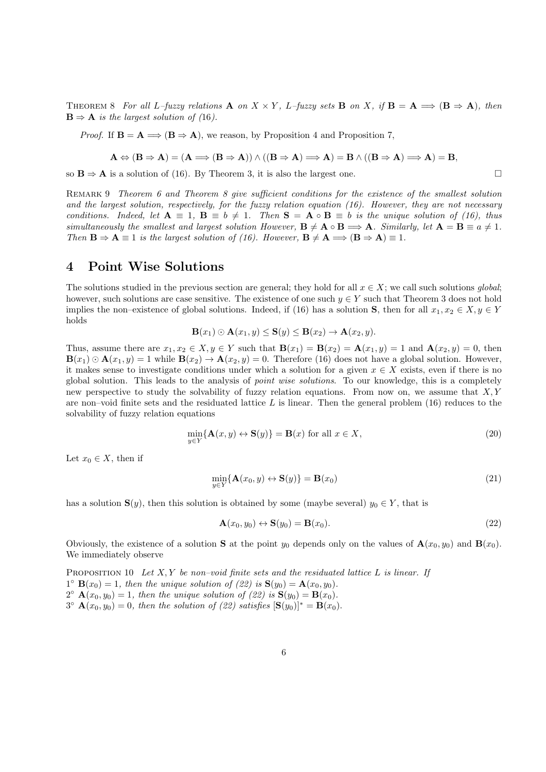THEOREM 8 For all L–fuzzy relations **A** on  $X \times Y$ , L–fuzzy sets **B** on X, if  $\mathbf{B} = \mathbf{A} \implies (\mathbf{B} \Rightarrow \mathbf{A})$ , then  $\mathbf{B} \Rightarrow \mathbf{A}$  is the largest solution of (16).

*Proof.* If  $B = A \Longrightarrow (B \Rightarrow A)$ , we reason, by Proposition 4 and Proposition 7,

$$
A \Leftrightarrow (B \Rightarrow A) = (A \Longrightarrow (B \Rightarrow A)) \land ((B \Rightarrow A) \Longrightarrow A) = B \land ((B \Rightarrow A) \Longrightarrow A) = B,
$$

so  $B \Rightarrow A$  is a solution of (16). By Theorem 3, it is also the largest one.

REMARK 9 Theorem 6 and Theorem 8 give sufficient conditions for the existence of the smallest solution and the largest solution, respectively, for the fuzzy relation equation (16). However, they are not necessary conditions. Indeed, let  $A \equiv 1$ ,  $B \equiv b \neq 1$ . Then  $S = A \circ B \equiv b$  is the unique solution of (16), thus simultaneously the smallest and largest solution However,  $\mathbf{B} \neq \mathbf{A} \circ \mathbf{B} \Longrightarrow \mathbf{A}$ . Similarly, let  $\mathbf{A} = \mathbf{B} \equiv a \neq 1$ . Then  $\mathbf{B} \Rightarrow \mathbf{A} \equiv 1$  is the largest solution of (16). However,  $\mathbf{B} \neq \mathbf{A} \Longrightarrow (\mathbf{B} \Rightarrow \mathbf{A}) \equiv 1$ .

#### 4 Point Wise Solutions

The solutions studied in the previous section are general; they hold for all  $x \in X$ ; we call such solutions global; however, such solutions are case sensitive. The existence of one such  $y \in Y$  such that Theorem 3 does not hold implies the non–existence of global solutions. Indeed, if (16) has a solution S, then for all  $x_1, x_2 \in X, y \in Y$ holds

$$
\mathbf{B}(x_1) \odot \mathbf{A}(x_1, y) \leq \mathbf{S}(y) \leq \mathbf{B}(x_2) \rightarrow \mathbf{A}(x_2, y).
$$

Thus, assume there are  $x_1, x_2 \in X, y \in Y$  such that  $\mathbf{B}(x_1) = \mathbf{B}(x_2) = \mathbf{A}(x_1, y) = 1$  and  $\mathbf{A}(x_2, y) = 0$ , then  $\mathbf{B}(x_1) \odot \mathbf{A}(x_1, y) = 1$  while  $\mathbf{B}(x_2) \rightarrow \mathbf{A}(x_2, y) = 0$ . Therefore (16) does not have a global solution. However, it makes sense to investigate conditions under which a solution for a given  $x \in X$  exists, even if there is no global solution. This leads to the analysis of point wise solutions. To our knowledge, this is a completely new perspective to study the solvability of fuzzy relation equations. From now on, we assume that  $X, Y$ are non–void finite sets and the residuated lattice  $L$  is linear. Then the general problem (16) reduces to the solvability of fuzzy relation equations

$$
\min_{y \in Y} \{ \mathbf{A}(x, y) \leftrightarrow \mathbf{S}(y) \} = \mathbf{B}(x) \text{ for all } x \in X,
$$
\n(20)

Let  $x_0 \in X$ , then if

$$
\min_{y \in Y} \{ \mathbf{A}(x_0, y) \leftrightarrow \mathbf{S}(y) \} = \mathbf{B}(x_0)
$$
\n(21)

has a solution  $S(y)$ , then this solution is obtained by some (maybe several)  $y_0 \in Y$ , that is

$$
\mathbf{A}(x_0, y_0) \leftrightarrow \mathbf{S}(y_0) = \mathbf{B}(x_0). \tag{22}
$$

Obviously, the existence of a solution **S** at the point  $y_0$  depends only on the values of  $\mathbf{A}(x_0, y_0)$  and  $\mathbf{B}(x_0)$ . We immediately observe

PROPOSITION 10 Let  $X, Y$  be non–void finite sets and the residuated lattice L is linear. If  $1^{\circ}$  **B** $(x_0) = 1$ , then the unique solution of (22) is **S** $(y_0) = \mathbf{A}(x_0, y_0)$ .  $2^{\circ}$   $\mathbf{A}(x_0, y_0) = 1$ , then the unique solution of (22) is  $\mathbf{S}(y_0) = \mathbf{B}(x_0)$ .  $3^{\circ}$   $\mathbf{A}(x_0, y_0) = 0$ , then the solution of (22) satisfies  $[\mathbf{S}(y_0)]^* = \mathbf{B}(x_0)$ .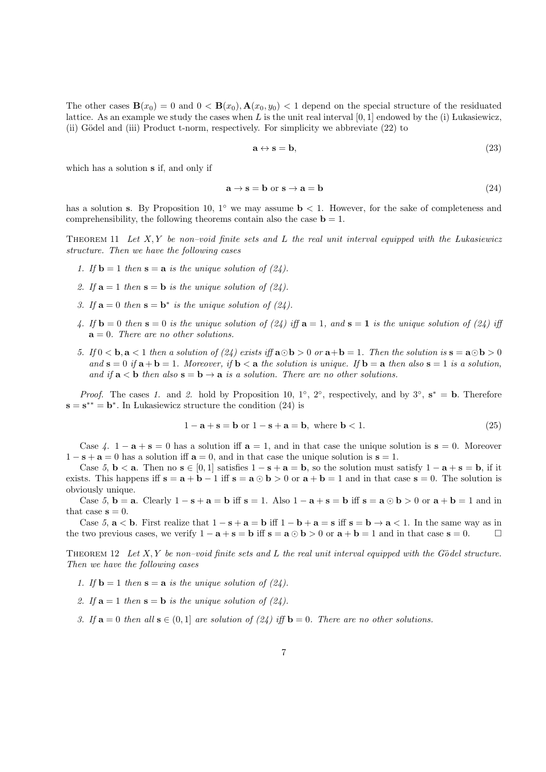The other cases  $\mathbf{B}(x_0) = 0$  and  $0 < \mathbf{B}(x_0), \mathbf{A}(x_0, y_0) < 1$  depend on the special structure of the residuated lattice. As an example we study the cases when L is the unit real interval  $[0, 1]$  endowed by the (i) Lukasiewicz, (ii) Gödel and (iii) Product t-norm, respectively. For simplicity we abbreviate (22) to

$$
\mathbf{a} \leftrightarrow \mathbf{s} = \mathbf{b},\tag{23}
$$

which has a solution s if, and only if

$$
\mathbf{a} \to \mathbf{s} = \mathbf{b} \text{ or } \mathbf{s} \to \mathbf{a} = \mathbf{b} \tag{24}
$$

has a solution s. By Proposition 10, 1<sup>°</sup> we may assume  $\mathbf{b} < 1$ . However, for the sake of completeness and comprehensibility, the following theorems contain also the case  $\mathbf{b} = 1$ .

THEOREM 11 Let  $X, Y$  be non–void finite sets and L the real unit interval equipped with the Lukasiewicz structure. Then we have the following cases

- 1. If  $\mathbf{b} = 1$  then  $\mathbf{s} = \mathbf{a}$  is the unique solution of (24).
- 2. If  $\mathbf{a} = 1$  then  $\mathbf{s} = \mathbf{b}$  is the unique solution of (24).
- 3. If  $\mathbf{a} = 0$  then  $\mathbf{s} = \mathbf{b}^*$  is the unique solution of (24).
- 4. If  $\mathbf{b} = 0$  then  $\mathbf{s} = 0$  is the unique solution of (24) iff  $\mathbf{a} = 1$ , and  $\mathbf{s} = \mathbf{1}$  is the unique solution of (24) iff  $\mathbf{a} = 0$ . There are no other solutions.
- 5. If  $0 < b$ ,  $a < 1$  then a solution of (24) exists iff  $a \odot b > 0$  or  $a + b = 1$ . Then the solution is  $s = a \odot b > 0$ and  $\mathbf{s} = 0$  if  $\mathbf{a} + \mathbf{b} = 1$ . Moreover, if  $\mathbf{b} < \mathbf{a}$  the solution is unique. If  $\mathbf{b} = \mathbf{a}$  then also  $\mathbf{s} = 1$  is a solution, and if  $a < b$  then also  $s = b \rightarrow a$  is a solution. There are no other solutions.

*Proof.* The cases 1. and 2. hold by Proposition 10, 1<sup>°</sup>, 2<sup>°</sup>, respectively, and by 3<sup>°</sup>,  $s^* = b$ . Therefore  $\mathbf{s} = \mathbf{s}^{**} = \mathbf{b}^*$ . In Lukasiewicz structure the condition (24) is

$$
1 - \mathbf{a} + \mathbf{s} = \mathbf{b} \text{ or } 1 - \mathbf{s} + \mathbf{a} = \mathbf{b}, \text{ where } \mathbf{b} < 1. \tag{25}
$$

Case 4.  $1 - a + s = 0$  has a solution iff  $a = 1$ , and in that case the unique solution is  $s = 0$ . Moreover  $1 - s + a = 0$  has a solution if  $a = 0$ , and in that case the unique solution is  $s = 1$ .

Case 5,  $\mathbf{b} < \mathbf{a}$ . Then no  $\mathbf{s} \in [0, 1]$  satisfies  $1 - \mathbf{s} + \mathbf{a} = \mathbf{b}$ , so the solution must satisfy  $1 - \mathbf{a} + \mathbf{s} = \mathbf{b}$ , if it exists. This happens iff  $s = a + b - 1$  iff  $s = a \odot b > 0$  or  $a + b = 1$  and in that case  $s = 0$ . The solution is obviously unique.

Case 5, **b** = **a**. Clearly  $1 - s + a = b$  iff  $s = 1$ . Also  $1 - a + s = b$  iff  $s = a \odot b > 0$  or  $a + b = 1$  and in that case  $s = 0$ .

Case 5,  $a < b$ . First realize that  $1 - s + a = b$  iff  $1 - b + a = s$  iff  $s = b \rightarrow a < 1$ . In the same way as in the two previous cases, we verify  $1 - a + s = b$  iff  $s = a \odot b > 0$  or  $a + b = 1$  and in that case  $s = 0$ .

THEOREM 12 Let  $X, Y$  be non–void finite sets and L the real unit interval equipped with the Gödel structure. Then we have the following cases

- 1. If  $\mathbf{b} = 1$  then  $\mathbf{s} = \mathbf{a}$  is the unique solution of (24).
- 2. If  $\mathbf{a} = 1$  then  $\mathbf{s} = \mathbf{b}$  is the unique solution of (24).
- 3. If  $\mathbf{a} = 0$  then all  $\mathbf{s} \in (0,1]$  are solution of (24) iff  $\mathbf{b} = 0$ . There are no other solutions.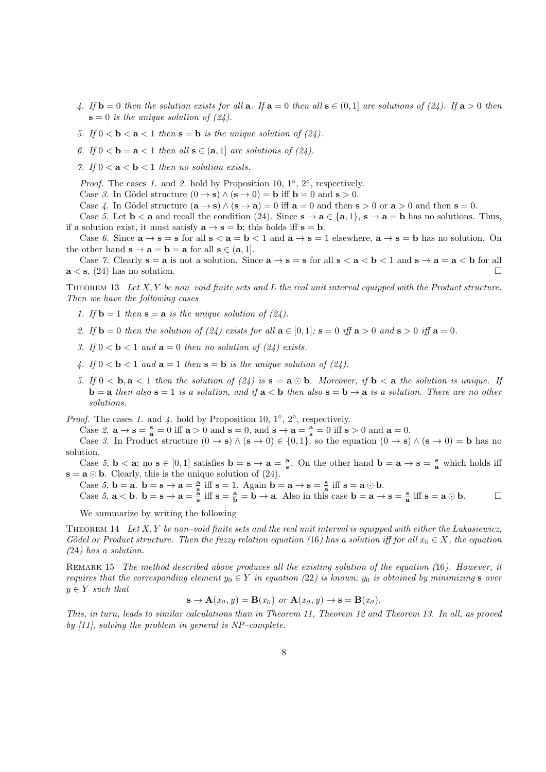- 4. If  $\mathbf{b} = 0$  then the solution exists for all  $\mathbf{a}$ . If  $\mathbf{a} = 0$  then all  $\mathbf{s} \in (0,1]$  are solutions of (24). If  $\mathbf{a} > 0$  then  $s = 0$  is the unique solution of  $(24)$ .
- 5. If  $0 < b < a < 1$  then  $s = b$  is the unique solution of (24).
- 6. If  $0 < b = a < 1$  then all  $s \in (a, 1]$  are solutions of  $(24)$ .

7. If  $0 < a < b < 1$  then no solution exists.

*Proof.* The cases 1. and 2. hold by Proposition 10,  $1^\circ$ ,  $2^\circ$ , respectively.

Case 3. In Gödel structure  $(0 \rightarrow s) \wedge (s \rightarrow 0) = b$  iff  $b = 0$  and  $s > 0$ .

Case 4. In Gödel structure  $(\mathbf{a} \to \mathbf{s}) \wedge (\mathbf{s} \to \mathbf{a}) = 0$  iff  $\mathbf{a} = 0$  and then  $\mathbf{s} > 0$  or  $\mathbf{a} > 0$  and then  $\mathbf{s} = 0$ .

Case 5. Let  $\mathbf{b} < \mathbf{a}$  and recall the condition (24). Since  $\mathbf{s} \to \mathbf{a} \in \{\mathbf{a}, \mathbf{1}\}\,$ ,  $\mathbf{s} \to \mathbf{a} = \mathbf{b}$  has no solutions. Thus, if a solution exist, it must satisfy  $\mathbf{a} \to \mathbf{s} = \mathbf{b}$ ; this holds iff  $\mathbf{s} = \mathbf{b}$ .

Case 6. Since  $\mathbf{a} \to \mathbf{s} = \mathbf{s}$  for all  $\mathbf{s} < \mathbf{a} = \mathbf{b} < 1$  and  $\mathbf{a} \to \mathbf{s} = 1$  elsewhere,  $\mathbf{a} \to \mathbf{s} = \mathbf{b}$  has no solution. On the other hand  $\mathbf{s} \to \mathbf{a} = \mathbf{b} = \mathbf{a}$  for all  $\mathbf{s} \in (\mathbf{a}, 1]$ .

Case 7. Clearly  $s = a$  is not a solution. Since  $a \to s = s$  for all  $s < a < b < 1$  and  $s \to a = a < b$  for all  $\mathbf{a} < \mathbf{s}$ , (24) has no solution.

THEOREM 13 Let  $X, Y$  be non–void finite sets and L the real unit interval equipped with the Product structure. Then we have the following cases

- 1. If  $\mathbf{b} = 1$  then  $\mathbf{s} = \mathbf{a}$  is the unique solution of (24).
- 2. If  $\mathbf{b} = 0$  then the solution of (24) exists for all  $\mathbf{a} \in [0,1]$ ;  $\mathbf{s} = 0$  iff  $\mathbf{a} > 0$  and  $\mathbf{s} > 0$  iff  $\mathbf{a} = 0$ .
- 3. If  $0 < b < 1$  and  $a = 0$  then no solution of (24) exists.
- 4. If  $0 < b < 1$  and  $a = 1$  then  $s = b$  is the unique solution of (24).
- 5. If  $0 < b$ ,  $a < 1$  then the solution of (24) is  $s = a \odot b$ . Moreover, if  $b < a$  the solution is unique. If  **then also**  $**s** = 1$  **is a solution, and if**  $**a b**$  **then also**  $**s** = **b** \rightarrow **a**$  **is a solution. There are no other** solutions.

*Proof.* The cases 1. and 4. hold by Proposition 10, 1 $\degree$ , 2 $\degree$ , respectively.

Case 2.  $\mathbf{a} \to \mathbf{s} = \frac{\mathbf{s}}{\mathbf{a}} = 0$  iff  $\mathbf{a} > 0$  and  $\mathbf{s} = 0$ , and  $\mathbf{s} \to \mathbf{a} = \frac{\mathbf{a}}{\mathbf{s}} = 0$  iff  $\mathbf{s} > 0$  and  $\mathbf{a} = 0$ .

Case 3. In Product structure  $(0 \to s) \wedge (s \to 0) \in \{0,1\}$ , so the equation  $(0 \to s) \wedge (s \to 0) = b$  has no solution.

Case 5,  $\mathbf{b} < \mathbf{a}$ ; no  $\mathbf{s} \in [0,1]$  satisfies  $\mathbf{b} = \mathbf{s} \to \mathbf{a} = \frac{\mathbf{a}}{\mathbf{s}}$ . On the other hand  $\mathbf{b} = \mathbf{a} \to \mathbf{s} = \frac{\mathbf{s}}{\mathbf{a}}$  which holds iff  $\mathbf{s} = \mathbf{a} \odot \mathbf{b}$ . Clearly, this is the unique solution of (24).

Case 5, **b** = **a**. **b** = **s**  $\rightarrow$  **a** =  $\frac{a}{s}$  iff **s** = 1. Again **b** = **a**  $\rightarrow$  **s** =  $\frac{s}{a}$  iff **s** = **a**  $\odot$  **b**.

Case  $5, a < b$ .  $b = s \rightarrow a = \frac{a}{s}$  iff  $s = \frac{a}{b} = b \rightarrow a$ . Also in this case  $b = a \rightarrow s = \frac{s}{a}$  iff  $s = a \odot b$ .

We summarize by writing the following

THEOREM 14 Let  $X, Y$  be non–void finite sets and the real unit interval is equipped with either the Lukasiewicz, Gödel or Product structure. Then the fuzzy relation equation (16) has a solution iff for all  $x_0 \in X$ , the equation (24) has a solution.

REMARK 15 The method described above produces all the existing solution of the equation (16). However, it requires that the corresponding element  $y_0 \in Y$  in equation (22) is known;  $y_0$  is obtained by minimizing s over  $y \in Y$  such that

$$
\mathbf{s} \to \mathbf{A}(x_0, y) = \mathbf{B}(x_0) \text{ or } \mathbf{A}(x_0, y) \to \mathbf{s} = \mathbf{B}(x_0).
$$

This, in turn, leads to similar calculations than in Theorem 11, Theorem 12 and Theorem 13. In all, as proved by [11], solving the problem in general is NP–complete.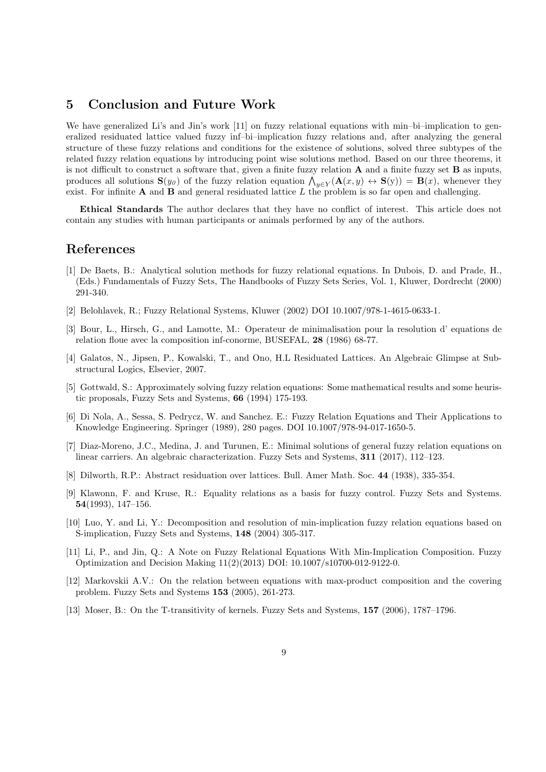# 5 Conclusion and Future Work

We have generalized Li's and Jin's work [11] on fuzzy relational equations with min-bi-implication to generalized residuated lattice valued fuzzy inf–bi–implication fuzzy relations and, after analyzing the general structure of these fuzzy relations and conditions for the existence of solutions, solved three subtypes of the related fuzzy relation equations by introducing point wise solutions method. Based on our three theorems, it is not difficult to construct a software that, given a finite fuzzy relation  $A$  and a finite fuzzy set  $B$  as inputs, produces all solutions  $\mathbf{S}(y_0)$  of the fuzzy relation equation  $\bigwedge_{y \in Y} (\mathbf{A}(x, y) \leftrightarrow \mathbf{S}(y)) = \mathbf{B}(x)$ , whenever they exist. For infinite  $A$  and  $B$  and general residuated lattice  $L$  the problem is so far open and challenging.

Ethical Standards The author declares that they have no conflict of interest. This article does not contain any studies with human participants or animals performed by any of the authors.

## References

- [1] De Baets, B.: Analytical solution methods for fuzzy relational equations. In Dubois, D. and Prade, H., (Eds.) Fundamentals of Fuzzy Sets, The Handbooks of Fuzzy Sets Series, Vol. 1, Kluwer, Dordrecht (2000) 291-340.
- [2] Belohlavek, R.; Fuzzy Relational Systems, Kluwer (2002) DOI 10.1007/978-1-4615-0633-1.
- [3] Bour, L., Hirsch, G., and Lamotte, M.: Operateur de minimalisation pour la resolution d' equations de relation floue avec la composition inf-conorme, BUSEFAL, 28 (1986) 68-77.
- [4] Galatos, N., Jipsen, P., Kowalski, T., and Ono, H.L Residuated Lattices. An Algebraic Glimpse at Substructural Logics, Elsevier, 2007.
- [5] Gottwald, S.: Approximately solving fuzzy relation equations: Some mathematical results and some heuristic proposals, Fuzzy Sets and Systems, 66 (1994) 175-193.
- [6] Di Nola, A., Sessa, S. Pedrycz, W. and Sanchez. E.: Fuzzy Relation Equations and Their Applications to Knowledge Engineering. Springer (1989), 280 pages. DOI 10.1007/978-94-017-1650-5.
- [7] Diaz-Moreno, J.C., Medina, J. and Turunen, E.: Minimal solutions of general fuzzy relation equations on linear carriers. An algebraic characterization. Fuzzy Sets and Systems, 311 (2017), 112–123.
- [8] Dilworth, R.P.: Abstract residuation over lattices. Bull. Amer Math. Soc. 44 (1938), 335-354.
- [9] Klawonn, F. and Kruse, R.: Equality relations as a basis for fuzzy control. Fuzzy Sets and Systems. 54(1993), 147–156.
- [10] Luo, Y. and Li, Y.: Decomposition and resolution of min-implication fuzzy relation equations based on S-implication, Fuzzy Sets and Systems, 148 (2004) 305-317.
- [11] Li, P., and Jin, Q.: A Note on Fuzzy Relational Equations With Min-Implication Composition. Fuzzy Optimization and Decision Making 11(2)(2013) DOI: 10.1007/s10700-012-9122-0.
- [12] Markovskii A.V.: On the relation between equations with max-product composition and the covering problem. Fuzzy Sets and Systems 153 (2005), 261-273.
- [13] Moser, B.: On the T-transitivity of kernels. Fuzzy Sets and Systems, 157 (2006), 1787–1796.